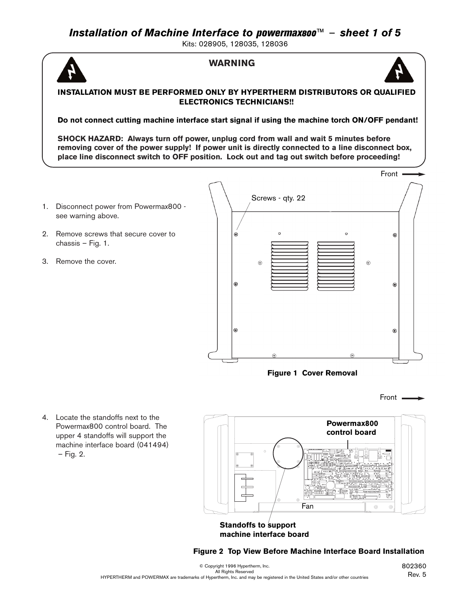Kits: 028905, 128035, 128036

## **WARNING**



### **INSTALLATION MUST BE PERFORMED ONLY BY HYPERTHERM DISTRIBUTORS OR QUALIFIED ELECTRONICS TECHNICIANS!!**

**Do not connect cutting machine interface start signal if using the machine torch ON/OFF pendant!**

**SHOCK HAZARD: Always turn off power, unplug cord from wall and wait 5 minutes before removing cover of the power supply! If power unit is directly connected to a line disconnect box, place line disconnect switch to OFF position. Lock out and tag out switch before proceeding!** 

- 1. Disconnect power from Powermax800 see warning above.
- 2. Remove screws that secure cover to chassis – Fig. 1.
- 3. Remove the cover.



### **Figure 1 Cover Removal**



4. Locate the standoffs next to the Powermax800 control board. The upper 4 standoffs will support the machine interface board (041494) – Fig. 2.



#### **Standoffs to support machine interface board**

**Figure 2 Top View Before Machine Interface Board Installation**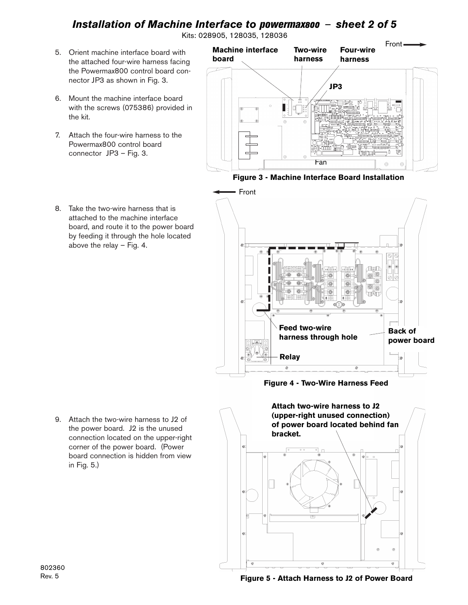# *Installation of Machine Interface to* powermax800 – *sheet 2 of 5*

Kits: 028905, 128035, 128036

- 5. Orient machine interface board with the attached four-wire harness facing the Powermax800 control board connector JP3 as shown in Fig. 3.
- 6. Mount the machine interface board with the screws (075386) provided in the kit.
- 7. Attach the four-wire harness to the Powermax800 control board connector JP3 – Fig. 3.

8. Take the two-wire harness that is attached to the machine interface board, and route it to the power board by feeding it through the hole located

above the relay – Fig. 4.



**Figure 3 - Machine Interface Board Installation**

Front πனπ **O** (数) 腐  $\circledcirc$  $\circledcirc$  $\circledcirc$ iigi **Feed two-wire Back of harness through hole power boardRelay**

**Figure 4 - Two-Wire Harness Feed**



9. Attach the two-wire harness to J2 of the power board. J2 is the unused connection located on the upper-right corner of the power board. (Power board connection is hidden from view in Fig. 5.)

802360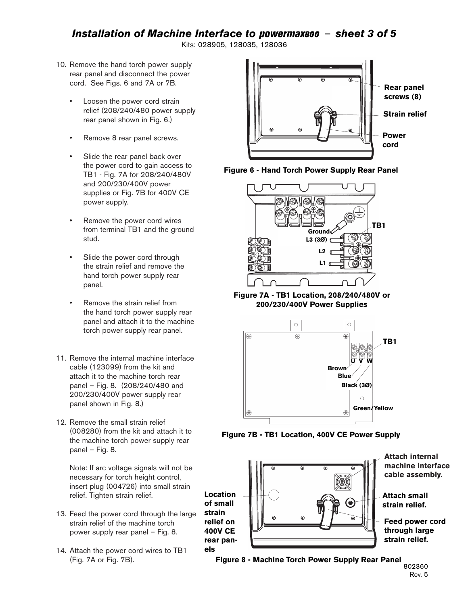## *Installation of Machine Interface to* powermax800 – *sheet 3 of 5*

Kits: 028905, 128035, 128036

- 10. Remove the hand torch power supply rear panel and disconnect the power cord. See Figs. 6 and 7A or 7B.
	- Loosen the power cord strain relief (208/240/480 power supply rear panel shown in Fig. 6.)
	- Remove 8 rear panel screws.
	- Slide the rear panel back over the power cord to gain access to TB1 - Fig. 7A for 208/240/480V and 200/230/400V power supplies or Fig. 7B for 400V CE power supply.
	- Remove the power cord wires from terminal TB1 and the ground stud.
	- Slide the power cord through the strain relief and remove the hand torch power supply rear panel.
	- Remove the strain relief from the hand torch power supply rear panel and attach it to the machine torch power supply rear panel.
- 11. Remove the internal machine interface cable (123099) from the kit and attach it to the machine torch rear panel – Fig. 8. (208/240/480 and 200/230/400V power supply rear panel shown in Fig. 8.)
- 12. Remove the small strain relief (008280) from the kit and attach it to the machine torch power supply rear panel – Fig. 8.

Note: If arc voltage signals will not be necessary for torch height control, insert plug (004726) into small strain relief. Tighten strain relief.

- 13. Feed the power cord through the large strain relief of the machine torch power supply rear panel – Fig. 8.
- 14. Attach the power cord wires to TB1 (Fig. 7A or Fig. 7B).







**Figure 7A - TB1 Location, 208/240/480V or 200/230/400V Power Supplies**



**Figure 7B - TB1 Location, 400V CE Power Supply**



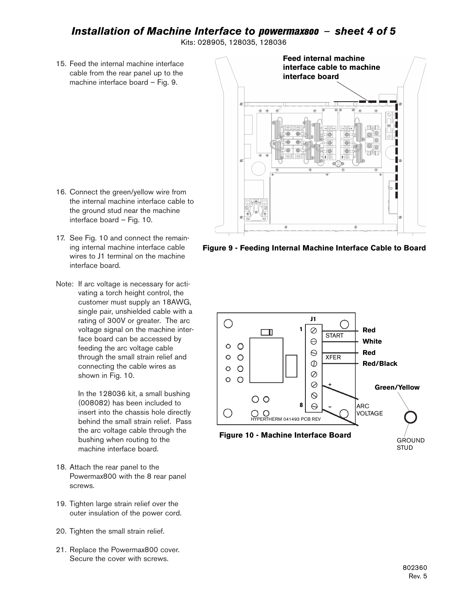## *Installation of Machine Interface to* powermax800 – *sheet 4 of 5*

Kits: 028905, 128035, 128036

15. Feed the internal machine interface cable from the rear panel up to the machine interface board – Fig. 9.



- 16. Connect the green/yellow wire from the internal machine interface cable to the ground stud near the machine interface board – Fig. 10.
- 17. See Fig. 10 and connect the remaining internal machine interface cable wires to J1 terminal on the machine interface board.
- Note: If arc voltage is necessary for activating a torch height control, the customer must supply an 18AWG, single pair, unshielded cable with a rating of 300V or greater. The arc voltage signal on the machine interface board can be accessed by feeding the arc voltage cable through the small strain relief and connecting the cable wires as shown in Fig. 10.

In the 128036 kit, a small bushing (008082) has been included to insert into the chassis hole directly behind the small strain relief. Pass the arc voltage cable through the bushing when routing to the machine interface board.

- 18. Attach the rear panel to the Powermax800 with the 8 rear panel screws.
- 19. Tighten large strain relief over the outer insulation of the power cord.
- 20. Tighten the small strain relief.
- 21. Replace the Powermax800 cover. Secure the cover with screws.

**Figure 9 - Feeding Internal Machine Interface Cable to Board**